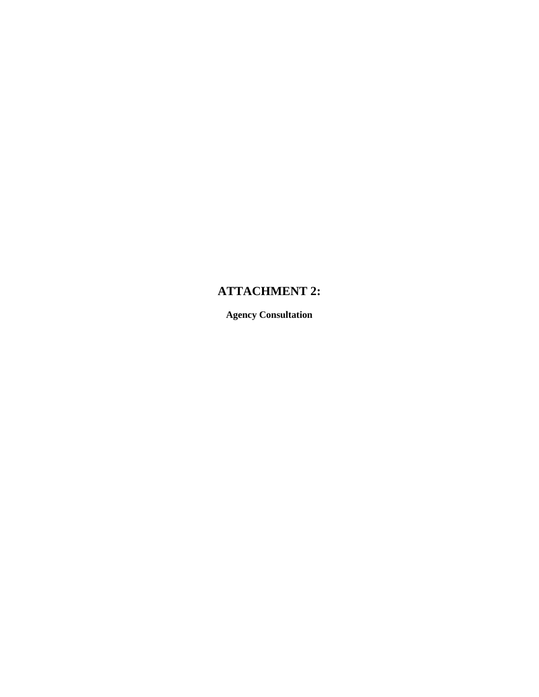# **ATTACHMENT 2:**

**Agency Consultation**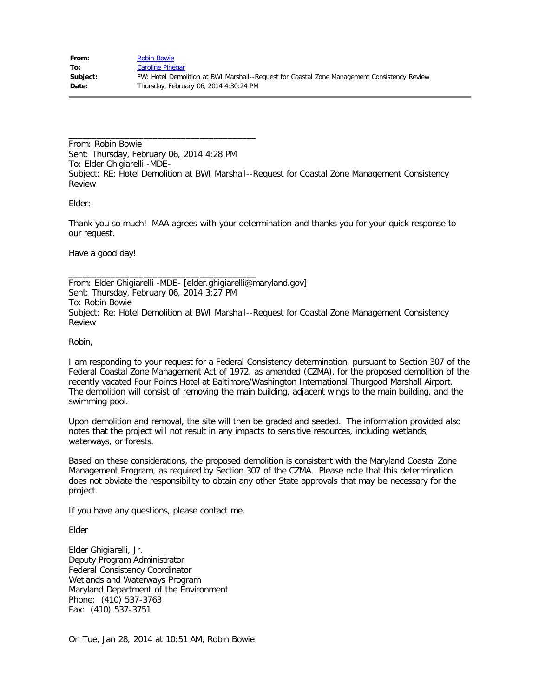From: Robin Bowie Sent: Thursday, February 06, 2014 4:28 PM To: Elder Ghigiarelli -MDE-Subject: RE: Hotel Demolition at BWI Marshall--Request for Coastal Zone Management Consistency Review

Elder:

Thank you so much! MAA agrees with your determination and thanks you for your quick response to our request.

Have a good day!

From: Elder Ghigiarelli -MDE- [elder.ghigiarelli@maryland.gov] Sent: Thursday, February 06, 2014 3:27 PM To: Robin Bowie Subject: Re: Hotel Demolition at BWI Marshall--Request for Coastal Zone Management Consistency Review

Robin,

I am responding to your request for a Federal Consistency determination, pursuant to Section 307 of the Federal Coastal Zone Management Act of 1972, as amended (CZMA), for the proposed demolition of the recently vacated Four Points Hotel at Baltimore/Washington International Thurgood Marshall Airport. The demolition will consist of removing the main building, adjacent wings to the main building, and the swimming pool.

Upon demolition and removal, the site will then be graded and seeded. The information provided also notes that the project will not result in any impacts to sensitive resources, including wetlands, waterways, or forests.

Based on these considerations, the proposed demolition is consistent with the Maryland Coastal Zone Management Program, as required by Section 307 of the CZMA. Please note that this determination does not obviate the responsibility to obtain any other State approvals that may be necessary for the project.

If you have any questions, please contact me.

\_\_\_\_\_\_\_\_\_\_\_\_\_\_\_\_\_\_\_\_\_\_\_\_\_\_\_\_\_\_\_\_\_\_\_\_\_\_\_\_

\_\_\_\_\_\_\_\_\_\_\_\_\_\_\_\_\_\_\_\_\_\_\_\_\_\_\_\_\_\_\_\_\_\_\_\_\_\_\_\_

Elder

Elder Ghigiarelli, Jr. Deputy Program Administrator Federal Consistency Coordinator Wetlands and Waterways Program Maryland Department of the Environment Phone: (410) 537-3763 Fax: (410) 537-3751

On Tue, Jan 28, 2014 at 10:51 AM, Robin Bowie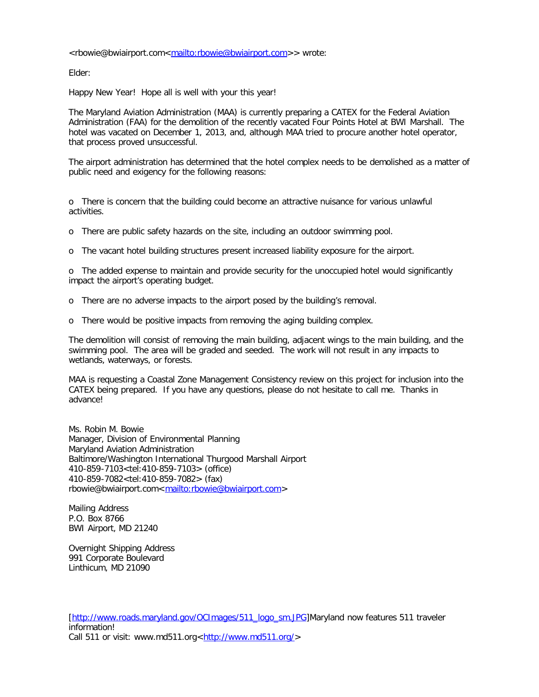<rbowie@bwiairport.com<<mailto:rbowie@bwiairport.com>>> wrote:

Elder:

Happy New Year! Hope all is well with your this year!

The Maryland Aviation Administration (MAA) is currently preparing a CATEX for the Federal Aviation Administration (FAA) for the demolition of the recently vacated Four Points Hotel at BWI Marshall. The hotel was vacated on December 1, 2013, and, although MAA tried to procure another hotel operator, that process proved unsuccessful.

The airport administration has determined that the hotel complex needs to be demolished as a matter of public need and exigency for the following reasons:

o There is concern that the building could become an attractive nuisance for various unlawful activities.

o There are public safety hazards on the site, including an outdoor swimming pool.

o The vacant hotel building structures present increased liability exposure for the airport.

o The added expense to maintain and provide security for the unoccupied hotel would significantly impact the airport's operating budget.

o There are no adverse impacts to the airport posed by the building's removal.

o There would be positive impacts from removing the aging building complex.

The demolition will consist of removing the main building, adjacent wings to the main building, and the swimming pool. The area will be graded and seeded. The work will not result in any impacts to wetlands, waterways, or forests.

MAA is requesting a Coastal Zone Management Consistency review on this project for inclusion into the CATEX being prepared. If you have any questions, please do not hesitate to call me. Thanks in advance!

Ms. Robin M. Bowie Manager, Division of Environmental Planning Maryland Aviation Administration Baltimore/Washington International Thurgood Marshall Airport 410-859-7103<tel:410-859-7103> (office) 410-859-7082<tel:410-859-7082> (fax) rbowie@bwiairport.com<[mailto:rbowie@bwiairport.com>](mailto:rbowie@bwiairport.com)

Mailing Address P.O. Box 8766 BWI Airport, MD 21240

Overnight Shipping Address 991 Corporate Boulevard Linthicum, MD 21090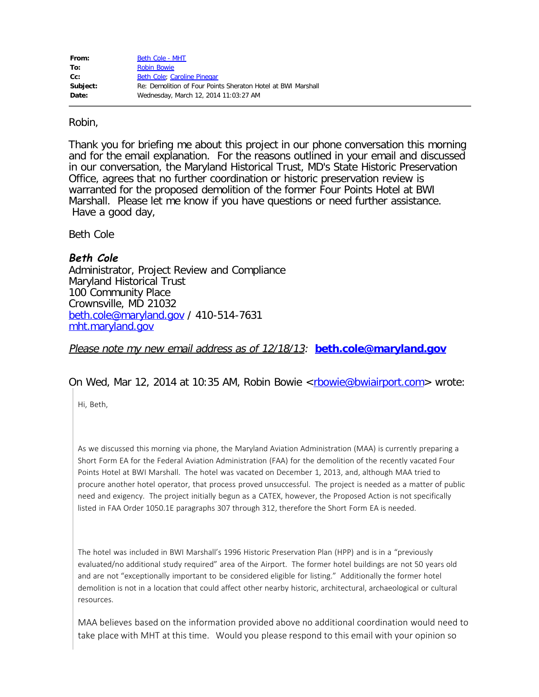| From:    | Beth Cole - MHT                                              |
|----------|--------------------------------------------------------------|
| To:      | <b>Robin Bowie</b>                                           |
| cc:      | Beth Cole; Caroline Pinegar                                  |
| Subject: | Re: Demolition of Four Points Sheraton Hotel at BWI Marshall |
| Date:    | Wednesday, March 12, 2014 11:03:27 AM                        |

### Robin,

Thank you for briefing me about this project in our phone conversation this morning and for the email explanation. For the reasons outlined in your email and discussed in our conversation, the Maryland Historical Trust, MD's State Historic Preservation Office, agrees that no further coordination or historic preservation review is warranted for the proposed demolition of the former Four Points Hotel at BWI Marshall. Please let me know if you have questions or need further assistance. Have a good day,

Beth Cole

## **Beth Cole**

Administrator, Project Review and Compliance Maryland Historical Trust 100 Community Place Crownsville, MD 21032 [beth.cole@maryland.gov](mailto:beth.cole@maryland.gov) / 410-514-7631 [mht.maryland.gov](http://mht.maryland.gov/)

Please note my new email address as of 12/18/13: **[beth.cole@maryland.gov](mailto:beth.cole@maryland.gov)**

### On Wed, Mar 12, 2014 at 10:35 AM, Robin Bowie <[rbowie@bwiairport.com](mailto:rbowie@bwiairport.com)> wrote:

Hi, Beth,

As we discussed this morning via phone, the Maryland Aviation Administration (MAA) is currently preparing a Short Form EA for the Federal Aviation Administration (FAA) for the demolition of the recently vacated Four Points Hotel at BWI Marshall. The hotel was vacated on December 1, 2013, and, although MAA tried to procure another hotel operator, that process proved unsuccessful. The project is needed as a matter of public need and exigency. The project initially begun as a CATEX, however, the Proposed Action is not specifically listed in FAA Order 1050.1E paragraphs 307 through 312, therefore the Short Form EA is needed.

The hotel was included in BWI Marshall's 1996 Historic Preservation Plan (HPP) and is in a "previously evaluated/no additional study required" area of the Airport. The former hotel buildings are not 50 years old and are not "exceptionally important to be considered eligible for listing." Additionally the former hotel demolition is not in a location that could affect other nearby historic, architectural, archaeological or cultural resources.

MAA believes based on the information provided above no additional coordination would need to take place with MHT at this time. Would you please respond to this email with your opinion so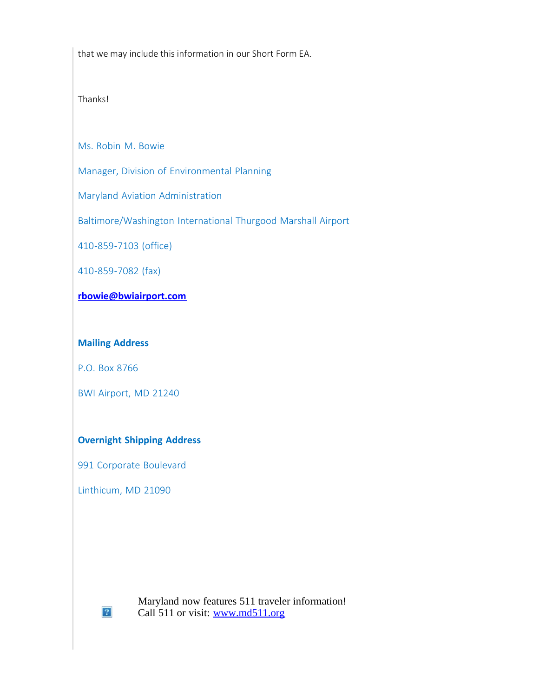that we may include this information in our Short Form EA.

Thanks!

Ms. Robin M. Bowie

Manager, Division of Environmental Planning

Maryland Aviation Administration

Baltimore/Washington International Thurgood Marshall Airport

410-859-7103 (office)

410-859-7082 (fax)

# **[rbowie@bwiairport.com](mailto:rbowie@bwiairport.com)**

### **Mailing Address**

P.O. Box 8766

BWI Airport, MD 21240

## **Overnight Shipping Address**

991 Corporate Boulevard

Linthicum, MD 21090

 $\left|2\right\rangle$ 

Maryland now features 511 traveler information! Call 511 or visit: [www.md511.org](http://www.md511.org/)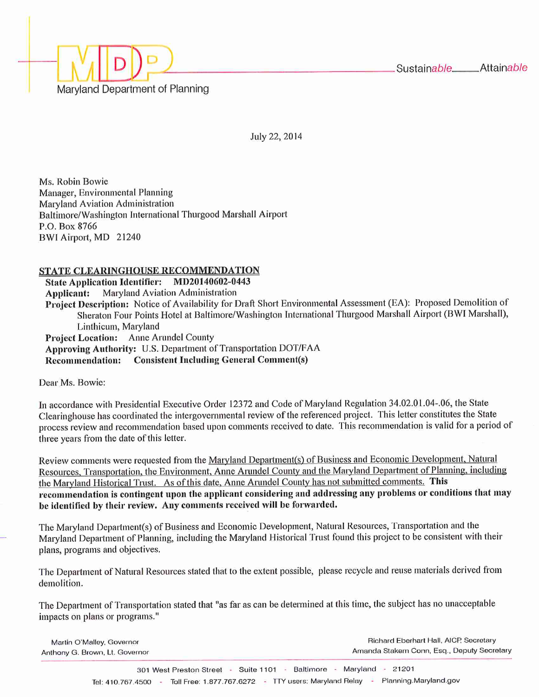

July 22, 2014

Ms. Robin Bowie Manager, Environmental Planning Maryland Aviation Administration Baltimore/Washington International Thurgood Marshall Airport P.O. Box 8766 BWI Airport, MD 21240

### STATE CLEARINGHOUSE RECOMMENDATION

State Application Identifier: MD20140602-0443 **Applicant:** Maryland Aviation Administration Project Description: Notice of Availability for Draft Short Environmental Assessment (EA): Proposed Demolition of Sheraton Four Points Hotel at Baltimore/Washington International Thurgood Marshall Airport (BWI Marshall), Linthicum, Maryland Project Location: Anne Arundel County Approving Authority: U.S. Department of Transportation DOT/FAA **Recommendation:** Consistent Including General Comment(s)

Dear Ms. Bowie:

In accordance with Presidential Executive Order 12372 and Code of Maryland Regulation 34.02.01.04-.06, the State Clearinghouse has coordinated the intergovernmental review of the referenced project. This letter constitutes the State process review and recommendation based upon comments received to date. This recommendation is valid for a period of three years from the date of this letter.

Review comments were requested from the Maryland Department(s) of Business and Economic Development, Natural Resources, Transportation, the Environment, Anne Arundel County and the Maryland Department of Planning, including the Maryland Historical Trust. As of this date, Anne Arundel County has not submitted comments. This recommendation is contingent upon the applicant considering and addressing any problems or conditions that may be identified by their review. Any comments received will be forwarded.

The Maryland Department(s) of Business and Economic Development, Natural Resources, Transportation and the Maryland Department of Planning, including the Maryland Historical Trust found this project to be consistent with their plans, programs and objectives.

The Department of Natural Resources stated that to the extent possible, please recycle and reuse materials derived from demolition.

The Department of Transportation stated that "as far as can be determined at this time, the subject has no unacceptable impacts on plans or programs."

| Martin O'Malley, Governor      | Richard Eberhart Hall, AICP, Secretary     |  |
|--------------------------------|--------------------------------------------|--|
| Anthony G. Brown, Lt. Governor | Amanda Stakem Conn, Esq., Deputy Secretary |  |
|                                |                                            |  |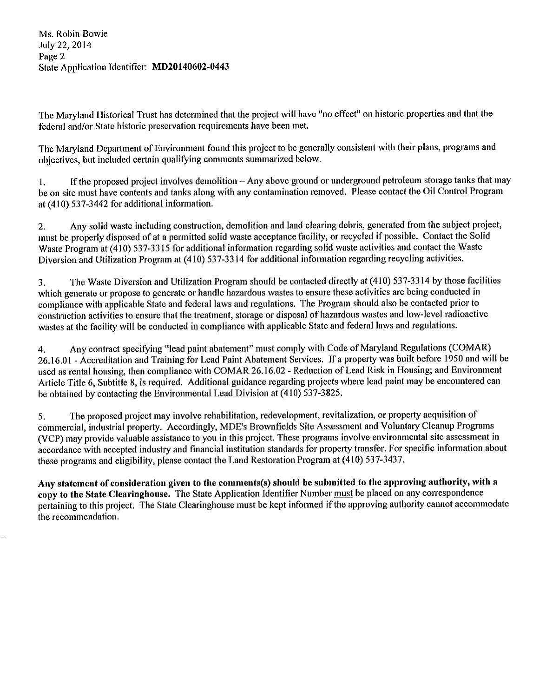Ms. Robin Bowie July 22, 2014 Page 2 State Application Identifier: MD20140602-0443

The Maryland Historical Trust has determined that the project will have "no effect" on historic properties and that the federal and/or State historic preservation requirements have been met.

The Maryland Department of Environment found this project to be generally consistent with their plans, programs and objectives, but included certain qualifying comments summarized below.

If the proposed project involves demolition – Any above ground or underground petroleum storage tanks that may  $1.$ be on site must have contents and tanks along with any contamination removed. Please contact the Oil Control Program at (410) 537-3442 for additional information.

Any solid waste including construction, demolition and land clearing debris, generated from the subject project,  $\overline{2}$ . must be properly disposed of at a permitted solid waste acceptance facility, or recycled if possible. Contact the Solid Waste Program at (410) 537-3315 for additional information regarding solid waste activities and contact the Waste Diversion and Utilization Program at (410) 537-3314 for additional information regarding recycling activities.

The Waste Diversion and Utilization Program should be contacted directly at (410) 537-3314 by those facilities 3. which generate or propose to generate or handle hazardous wastes to ensure these activities are being conducted in compliance with applicable State and federal laws and regulations. The Program should also be contacted prior to construction activities to ensure that the treatment, storage or disposal of hazardous wastes and low-level radioactive wastes at the facility will be conducted in compliance with applicable State and federal laws and regulations.

Any contract specifying "lead paint abatement" must comply with Code of Maryland Regulations (COMAR) 4. 26.16.01 - Accreditation and Training for Lead Paint Abatement Services. If a property was built before 1950 and will be used as rental housing, then compliance with COMAR 26.16.02 - Reduction of Lead Risk in Housing; and Environment Article Title 6, Subtitle 8, is required. Additional guidance regarding projects where lead paint may be encountered can be obtained by contacting the Environmental Lead Division at (410) 537-3825.

The proposed project may involve rehabilitation, redevelopment, revitalization, or property acquisition of 5. commercial, industrial property. Accordingly, MDE's Brownfields Site Assessment and Voluntary Cleanup Programs (VCP) may provide valuable assistance to you in this project. These programs involve environmental site assessment in accordance with accepted industry and financial institution standards for property transfer. For specific information about these programs and eligibility, please contact the Land Restoration Program at (410) 537-3437.

Any statement of consideration given to the comments(s) should be submitted to the approving authority, with a copy to the State Clearinghouse. The State Application Identifier Number must be placed on any correspondence pertaining to this project. The State Clearinghouse must be kept informed if the approving authority cannot accommodate the recommendation.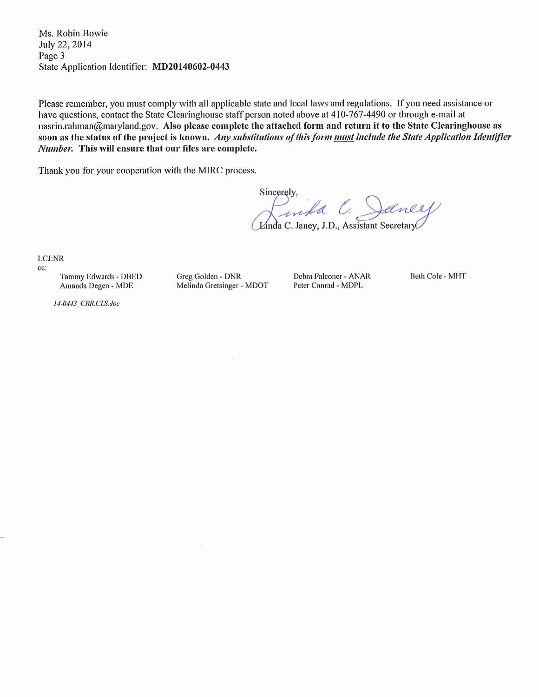Ms. Robin Bowie July 22, 2014 Page 3 State Application Identifier: MD20140602-0443

Please remember, you must comply with all applicable state and local laws and regulations. If you need assistance or have questions, contact the State Clearinghouse staff person noted above at 410-767-4490 or through e-mail at nasrin.rahman@maryland.gov. Also please complete the attached form and return it to the State Clearinghouse as soon as the status of the project is known. Any substitutions of this form must include the State Application Identifier Number. This will ensure that our files are complete.

Thank you for your cooperation with the MIRC process.

Sincerely, Inda C. Janey, J.D., Assistant Secretary

LCJ:NR

cc:

Tammy Edwards - DBED Amanda Degen - MDE

Greg Golden - DNR Melinda Gretsinger - MDOT Debra Falconer - ANAR Peter Conrad - MDPL

Beth Cole - MHT

14-0443\_CRR.CLS.doc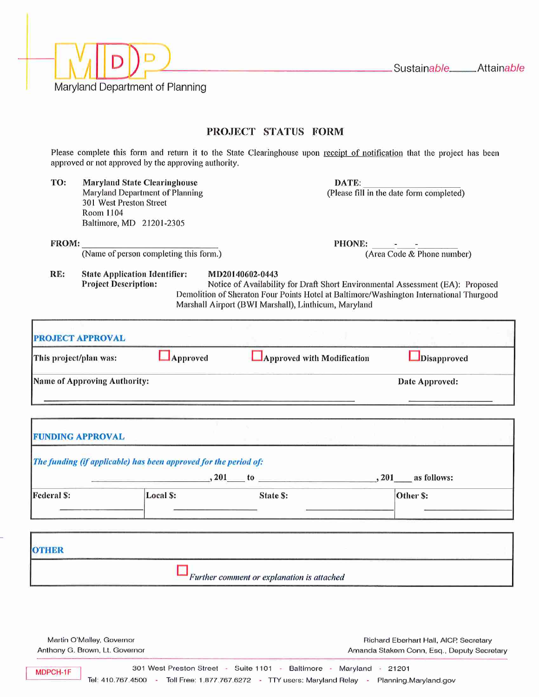

Martin O'Malley, Governor Anthony G. Brown, Lt. Governor

Richard Eberhart Hall, AICP, Secretary Amanda Stakem Conn, Esq., Deputy Secretary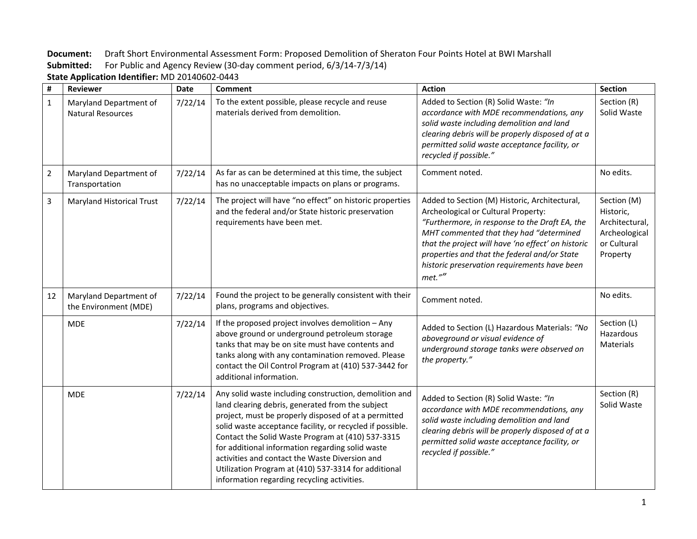**Document:** Draft Short Environmental Assessment Form: Proposed Demolition of Sheraton Four Points Hotel at BWI Marshall **Submitted:** For Public and Agency Review (30-day comment period, 6/3/14-7/3/14)

| $\pmb{\sharp}$ | <b>Reviewer</b>                                    | <b>Date</b> | Comment                                                                                                                                                                                                                                                                                                                                                                                                                                                                                           | <b>Action</b>                                                                                                                                                                                                                                                                                                                                     | <b>Section</b>                                                                         |
|----------------|----------------------------------------------------|-------------|---------------------------------------------------------------------------------------------------------------------------------------------------------------------------------------------------------------------------------------------------------------------------------------------------------------------------------------------------------------------------------------------------------------------------------------------------------------------------------------------------|---------------------------------------------------------------------------------------------------------------------------------------------------------------------------------------------------------------------------------------------------------------------------------------------------------------------------------------------------|----------------------------------------------------------------------------------------|
| $\mathbf{1}$   | Maryland Department of<br><b>Natural Resources</b> | 7/22/14     | To the extent possible, please recycle and reuse<br>materials derived from demolition.                                                                                                                                                                                                                                                                                                                                                                                                            | Added to Section (R) Solid Waste: "In<br>accordance with MDE recommendations, any<br>solid waste including demolition and land<br>clearing debris will be properly disposed of at a<br>permitted solid waste acceptance facility, or<br>recycled if possible."                                                                                    | Section (R)<br>Solid Waste                                                             |
| $\overline{2}$ | Maryland Department of<br>Transportation           | 7/22/14     | As far as can be determined at this time, the subject<br>has no unacceptable impacts on plans or programs.                                                                                                                                                                                                                                                                                                                                                                                        | Comment noted.                                                                                                                                                                                                                                                                                                                                    | No edits.                                                                              |
| $\overline{3}$ | <b>Maryland Historical Trust</b>                   | 7/22/14     | The project will have "no effect" on historic properties<br>and the federal and/or State historic preservation<br>requirements have been met.                                                                                                                                                                                                                                                                                                                                                     | Added to Section (M) Historic, Architectural,<br>Archeological or Cultural Property:<br>"Furthermore, in response to the Draft EA, the<br>MHT commented that they had "determined<br>that the project will have 'no effect' on historic<br>properties and that the federal and/or State<br>historic preservation requirements have been<br>met."" | Section (M)<br>Historic,<br>Architectural,<br>Archeological<br>or Cultural<br>Property |
| 12             | Maryland Department of<br>the Environment (MDE)    | 7/22/14     | Found the project to be generally consistent with their<br>plans, programs and objectives.                                                                                                                                                                                                                                                                                                                                                                                                        | Comment noted.                                                                                                                                                                                                                                                                                                                                    | No edits.                                                                              |
|                | <b>MDE</b>                                         | 7/22/14     | If the proposed project involves demolition $-$ Any<br>above ground or underground petroleum storage<br>tanks that may be on site must have contents and<br>tanks along with any contamination removed. Please<br>contact the Oil Control Program at (410) 537-3442 for<br>additional information.                                                                                                                                                                                                | Added to Section (L) Hazardous Materials: "No<br>aboveground or visual evidence of<br>underground storage tanks were observed on<br>the property."                                                                                                                                                                                                | Section (L)<br>Hazardous<br>Materials                                                  |
|                | <b>MDE</b>                                         | 7/22/14     | Any solid waste including construction, demolition and<br>land clearing debris, generated from the subject<br>project, must be properly disposed of at a permitted<br>solid waste acceptance facility, or recycled if possible.<br>Contact the Solid Waste Program at (410) 537-3315<br>for additional information regarding solid waste<br>activities and contact the Waste Diversion and<br>Utilization Program at (410) 537-3314 for additional<br>information regarding recycling activities. | Added to Section (R) Solid Waste: "In<br>accordance with MDE recommendations, any<br>solid waste including demolition and land<br>clearing debris will be properly disposed of at a<br>permitted solid waste acceptance facility, or<br>recycled if possible."                                                                                    | Section (R)<br>Solid Waste                                                             |

**State Application Identifier:** MD 20140602-0443